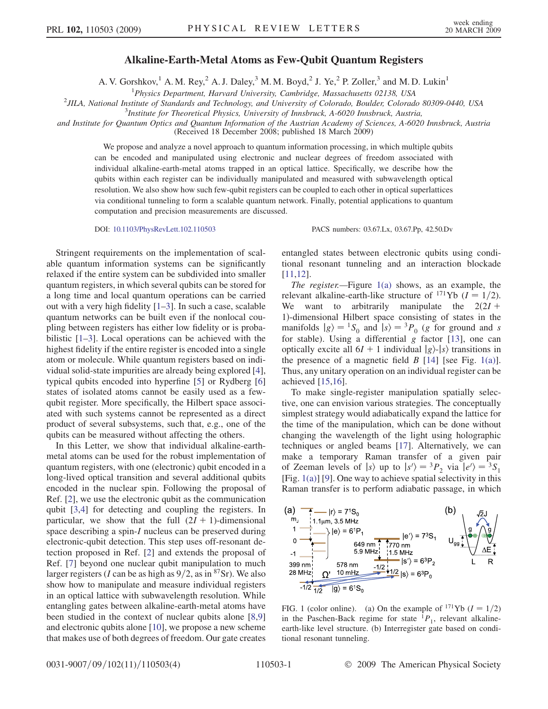## Alkaline-Earth-Metal Atoms as Few-Qubit Quantum Registers

A. V. Gorshkov,<sup>1</sup> A. M. Rey,<sup>2</sup> A. J. Daley,<sup>3</sup> M. M. Boyd,<sup>2</sup> J. Ye,<sup>2</sup> P. Zoller,<sup>3</sup> and M. D. Lukin<sup>1</sup>

<span id="page-0-0"></span><sup>1</sup>Physics Department, Harvard University, Cambridge, Massachusetts 02138, USA<br><sup>2</sup> III A. National Institute of Standards and Technology, and University of Colorado, Boulder, Colorad

<sup>2</sup>JILA, National Institute of Standards and Technology, and University of Colorado, Boulder, Colorado 80309-0440, USA

<sup>3</sup>Institute for Theoretical Physics, University of Innsbruck, A-6020 Innsbruck, Austria,

and Institute for Quantum Optics and Quantum Information of the Austrian Academy of Sciences, A-6020 Innsbruck, Austria

(Received 18 December 2008; published 18 March 2009)

We propose and analyze a novel approach to quantum information processing, in which multiple qubits can be encoded and manipulated using electronic and nuclear degrees of freedom associated with individual alkaline-earth-metal atoms trapped in an optical lattice. Specifically, we describe how the qubits within each register can be individually manipulated and measured with subwavelength optical resolution. We also show how such few-qubit registers can be coupled to each other in optical superlattices via conditional tunneling to form a scalable quantum network. Finally, potential applications to quantum computation and precision measurements are discussed.

DOI: [10.1103/PhysRevLett.102.110503](http://dx.doi.org/10.1103/PhysRevLett.102.110503) PACS numbers: 03.67.Lx, 03.67.Pp, 42.50.Dv

Stringent requirements on the implementation of scalable quantum information systems can be significantly relaxed if the entire system can be subdivided into smaller quantum registers, in which several qubits can be stored for a long time and local quantum operations can be carried out with a very high fidelity [1–3]. In such a case, scalable quantum networks can be built even if the nonlocal coupling between registers has either low fidelity or is probabilistic [1–3]. Local operations can be achieved with the highest fidelity if the entire register is encoded into a single atom or molecule. While quantum registers based on individual solid-state impurities are already being explored [4], typical qubits encoded into hyperfine [5] or Rydberg [6] states of isolated atoms cannot be easily used as a fewqubit register. More specifically, the Hilbert space associated with such systems cannot be represented as a direct product of several subsystems, such that, e.g., one of the qubits can be measured without affecting the others.

In this Letter, we show that individual alkaline-earthmetal atoms can be used for the robust implementation of quantum registers, with one (electronic) qubit encoded in a long-lived optical transition and several additional qubits encoded in the nuclear spin. Following the proposal of Ref. [2], we use the electronic qubit as the communication qubit [3,4] for detecting and coupling the registers. In particular, we show that the full  $(2I + 1)$ -dimensional space describing a spin-I nucleus can be preserved during electronic-qubit detection. This step uses off-resonant detection proposed in Ref. [2] and extends the proposal of Ref. [7] beyond one nuclear qubit manipulation to much larger registers (*I* can be as high as  $9/2$ , as in <sup>87</sup>Sr). We also show how to manipulate and measure individual registers in an optical lattice with subwavelength resolution. While entangling gates between alkaline-earth-metal atoms have been studied in the context of nuclear qubits alone [8,9] and electronic qubits alone [10], we propose a new scheme that makes use of both degrees of freedom. Our gate creates

entangled states between electronic qubits using conditional resonant tunneling and an interaction blockade [11,12].

The register.—Figure  $1(a)$  shows, as an example, the relevant alkaline-earth-like structure of <sup>171</sup>Yb ( $I = 1/2$ ). We want to arbitrarily manipulate the  $2(2I +$ 1Þ-dimensional Hilbert space consisting of states in the manifolds  $|g\rangle = {}^{1}S_{0}$  and  $|s\rangle = {}^{3}P_{0}$  (g for ground and s for stable). Using a differential  $g$  factor [13], one can optically excite all  $6I + 1$  individual  $|g\rangle$ - $|s\rangle$  transitions in the presence of a magnetic field  $B$  [14] [see Fig. 1(a)]. Thus, any unitary operation on an individual register can be achieved [15,16].

To make single-register manipulation spatially selective, one can envision various strategies. The conceptually simplest strategy would adiabatically expand the lattice for the time of the manipulation, which can be done without changing the wavelength of the light using holographic techniques or angled beams [17]. Alternatively, we can make a temporary Raman transfer of a given pair of Zeeman levels of  $|s\rangle$  up to  $|s'\rangle = {}^{3}P_{2}$  via  $|e'\rangle = {}^{3}S_{1}$ [Fig.  $1(a)$ ] [9]. One way to achieve spatial selectivity in this Raman transfer is to perform adiabatic passage, in which



FIG. 1 (color online). (a) On the example of  $^{171}$ Yb ( $I = 1/2$ ) in the Paschen-Back regime for state  ${}^{1}P_1$ , relevant alkalineearth-like level structure. (b) Interregister gate based on conditional resonant tunneling.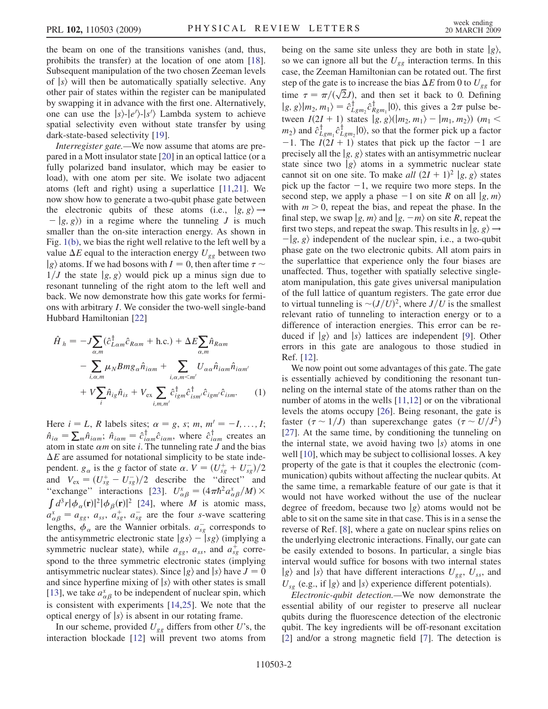the beam on one of the transitions vanishes (and, thus, prohibits the transfer) at the location of one atom [18]. Subsequent manipulation of the two chosen Zeeman levels of  $|s\rangle$  will then be automatically spatially selective. Any other pair of states within the register can be manipulated by swapping it in advance with the first one. Alternatively, one can use the  $|s\rangle$ - $|e'\rangle$ - $|s'\rangle$  Lambda system to achieve spatial selectivity even without state transfer by using dark-state-based selectivity [19].

Interregister gate.—We now assume that atoms are prepared in a Mott insulator state [20] in an optical lattice (or a fully polarized band insulator, which may be easier to load), with one atom per site. We isolate two adjacent atoms (left and right) using a superlattice [11,21]. We now show how to generate a two-qubit phase gate between the electronic qubits of these atoms (i.e.,  $|g, g\rangle \rightarrow$  $\vert g, g \rangle$  in a regime where the tunneling J is much smaller than the on-site interaction energy. As shown in Fig. [1\(b\)](#page-0-0), we bias the right well relative to the left well by a value  $\Delta E$  equal to the interaction energy  $U_{ge}$  between two  $|g\rangle$  atoms. If we had bosons with  $I = 0$ , then after time  $\tau \sim$  $1/J$  the state  $|g, g\rangle$  would pick up a minus sign due to resonant tunneling of the right atom to the left well and back. We now demonstrate how this gate works for fermions with arbitrary I. We consider the two-well single-band Hubbard Hamiltonian [22]

$$
\hat{H}_{h} = -J \sum_{\alpha,m} (\hat{c}_{L\alpha m}^{\dagger} \hat{c}_{R\alpha m} + \text{h.c.}) + \Delta E \sum_{\alpha,m} \hat{n}_{R\alpha m} \n- \sum_{i,\alpha,m} \mu_{N} B m g_{\alpha} \hat{n}_{i\alpha m} + \sum_{i,\alpha,m < m'} U_{\alpha\alpha} \hat{n}_{i\alpha m} \hat{n}_{i\alpha m'} \n+ V \sum_{i} \hat{n}_{ig} \hat{n}_{is} + V_{\text{ex}} \sum_{i,m,m'} \hat{c}_{igm}^{\dagger} \hat{c}_{ism'} \hat{c}_{igm'} \hat{c}_{ism}. \tag{1}
$$

Here  $i = L$ , R labels sites;  $\alpha = g$ , s; m,  $m_i' = -I, \ldots, I;$  $\hat{n}_{i\alpha} = \sum_{m} \hat{n}_{i\alpha m}$ ;  $\hat{n}_{i\alpha m} = \hat{c}^{\dagger}_{i\alpha m} \hat{c}_{i\alpha m}$ , where  $\hat{c}^{\dagger}_{i\alpha m}$  creates an atom in state  $\alpha m$  on site *i*. The tunneling rate *J* and the bias  $\Delta E$  are assumed for notational simplicity to be state independent.  $g_{\alpha}$  is the g factor of state  $\alpha$ .  $V = (U_{sg}^+ + U_{sg}^-)/2$ and  $V_{\text{ex}} = (U_{sg}^+ - U_{sg}^-)/2$  describe the "direct" and "exchange" interactions [23].  $U_{\alpha\beta}^x = (4\pi\hbar^2 a_{\alpha\beta}^x/M) \times$  $\int d^3r |\phi_\alpha(\mathbf{r})|^2 |\phi_\beta(\mathbf{r})|^2$  [24], where *M* is atomic mass,  $a_{\alpha\beta}^x = a_{gg}, a_{ss}, a_{sg}^+, a_{sg}^-$  are the four s-wave scattering lengths,  $\phi_{\alpha}$  are the Wannier orbitals.  $a_{sg}^-$  corresponds to the antisymmetric electronic state  $|gs\rangle - |sg\rangle$  (implying a symmetric nuclear state), while  $a_{gg}$ ,  $a_{ss}$ , and  $a_{sg}^+$  correspond to the three symmetric electronic states (implying antisymmetric nuclear states). Since  $|g\rangle$  and  $|s\rangle$  have  $J = 0$ and since hyperfine mixing of  $|s\rangle$  with other states is small [13], we take  $a_{\alpha\beta}^x$  to be independent of nuclear spin, which is consistent with experiments [14,25]. We note that the optical energy of  $|s\rangle$  is absent in our rotating frame.

In our scheme, provided  $U_{gg}$  differs from other U's, the interaction blockade [12] will prevent two atoms from being on the same site unless they are both in state  $|g\rangle$ , so we can ignore all but the  $U_{gg}$  interaction terms. In this case, the Zeeman Hamiltonian can be rotated out. The first step of the gate is to increase the bias  $\Delta E$  from 0 to  $U_{gg}$  for time  $\tau = \pi/(\sqrt{2}J)$ , and then set it back to 0. Defining  $|g, g\rangle |m_2, m_1\rangle = \hat{c}_{Lgm_2}^{\dagger} \hat{c}_{Rgm_1}^{\dagger} |0\rangle$ , this gives a  $2\pi$  pulse between  $I(2I + 1)$  states  $|g, g\rangle(|m_2, m_1\rangle - |m_1, m_2\rangle)$  (m<sub>1</sub> <  $(m_2)$  and  $\hat{c}_{Lgm_1}^{\dagger} \hat{c}_{Lgm_2}^{\dagger} |0\rangle$ , so that the former pick up a factor -1. The  $I(2I + 1)$  states that pick up the factor -1 are precisely all the  $|g, g\rangle$  states with an antisymmetric nuclear state since two  $|g\rangle$  atoms in a symmetric nuclear state cannot sit on one site. To make all  $(2I + 1)^2 |g, g\rangle$  states pick up the factor  $-1$ , we require two more steps. In the second step, we apply a phase  $-1$  on site R on all  $|g, m\rangle$ with  $m > 0$ , repeat the bias, and repeat the phase. In the final step, we swap  $|g, m\rangle$  and  $|g, -m\rangle$  on site R, repeat the first two steps, and repeat the swap. This results in  $|g, g\rangle \rightarrow$  $\vert g, g \rangle$  independent of the nuclear spin, i.e., a two-qubit phase gate on the two electronic qubits. All atom pairs in the superlattice that experience only the four biases are unaffected. Thus, together with spatially selective singleatom manipulation, this gate gives universal manipulation of the full lattice of quantum registers. The gate error due to virtual tunneling is  $\sim (J/U)^2$ , where  $J/U$  is the smallest relevant ratio of tunneling to interaction energy or to a difference of interaction energies. This error can be reduced if  $|g\rangle$  and  $|s\rangle$  lattices are independent [9]. Other errors in this gate are analogous to those studied in Ref. [12].

We now point out some advantages of this gate. The gate is essentially achieved by conditioning the resonant tunneling on the internal state of the atoms rather than on the number of atoms in the wells [11,12] or on the vibrational levels the atoms occupy [26]. Being resonant, the gate is faster  $(\tau \sim 1/J)$  than superexchange gates  $(\tau \sim U/J^2)$ [27]. At the same time, by conditioning the tunneling on the internal state, we avoid having two  $|s\rangle$  atoms in one well [10], which may be subject to collisional losses. A key property of the gate is that it couples the electronic (communication) qubits without affecting the nuclear qubits. At the same time, a remarkable feature of our gate is that it would not have worked without the use of the nuclear degree of freedom, because two  $|g\rangle$  atoms would not be able to sit on the same site in that case. This is in a sense the reverse of Ref. [8], where a gate on nuclear spins relies on the underlying electronic interactions. Finally, our gate can be easily extended to bosons. In particular, a single bias interval would suffice for bosons with two internal states  $|g\rangle$  and  $|s\rangle$  that have different interactions  $U_{gg}$ ,  $U_{ss}$ , and  $U_{sg}$  (e.g., if  $|g\rangle$  and  $|s\rangle$  experience different potentials).

Electronic-qubit detection.—We now demonstrate the essential ability of our register to preserve all nuclear qubits during the fluorescence detection of the electronic qubit. The key ingredients will be off-resonant excitation [2] and/or a strong magnetic field [7]. The detection is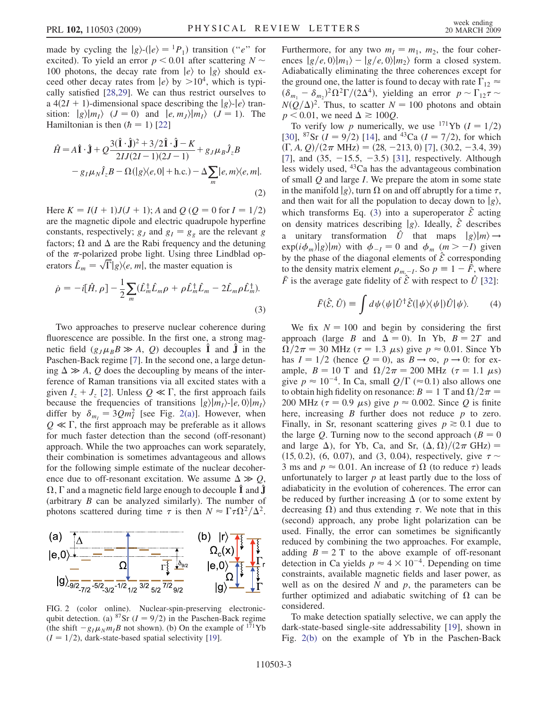made by cycling the  $|g\rangle \cdot (|e\rangle = |P_1\rangle)$  transition ("e" for excited). To yield an error  $p < 0.01$  after scattering  $N \sim$ 100 photons, the decay rate from  $|e\rangle$  to  $|g\rangle$  should exceed other decay rates from  $\ket{e}$  by  $>10^4$ , which is typically satisfied [28,29]. We can thus restrict ourselves to a 4(2I + 1)-dimensional space describing the  $|g\rangle$ - $|e\rangle$  transition:  $|g\rangle |m_1\rangle$  ( $J = 0$ ) and  $|e, m_1\rangle |m_1\rangle$  ( $J = 1$ ). The Hamiltonian is then  $(h = 1)$  [22]

$$
\hat{H} = A\hat{\mathbf{I}} \cdot \hat{\mathbf{J}} + Q \frac{3(\hat{\mathbf{I}} \cdot \hat{\mathbf{J}})^2 + 3/2\hat{\mathbf{I}} \cdot \hat{\mathbf{J}} - K}{2IJ(2I - 1)(2J - 1)} + g_J \mu_B \hat{J}_z B
$$
  

$$
- g_I \mu_N \hat{I}_z B - \Omega(|g\rangle\langle e, 0| + \text{h.c.}) - \Delta \sum_m |e, m\rangle\langle e, m|.
$$
  
(2)

Here  $K = I(I + 1)J(J + 1)$ ; A and  $Q (Q = 0$  for  $I = 1/2)$ are the magnetic dipole and electric quadrupole hyperfine constants, respectively;  $g_J$  and  $g_I = g_g$  are the relevant g factors;  $\Omega$  and  $\Delta$  are the Rabi frequency and the detuning of the  $\pi$ -polarized probe light. Using three Lindblad operators  $\hat{L}_m = \sqrt{\Gamma} |g\rangle\langle e, m|$ , the master equation is

<span id="page-2-0"></span>
$$
\dot{\rho} = -i[\hat{H}, \rho] - \frac{1}{2} \sum_{m} (\hat{L}_{m}^{\dagger} \hat{L}_{m} \rho + \rho \hat{L}_{m}^{\dagger} \hat{L}_{m} - 2 \hat{L}_{m} \rho \hat{L}_{m}^{\dagger}).
$$
\n(3)

Two approaches to preserve nuclear coherence during fluorescence are possible. In the first one, a strong magnetic field  $(g_J\mu_B B \gg A, Q)$  decouples  $\hat{\mathbf{I}}$  and  $\hat{\mathbf{J}}$  in the Paschen-Back regime [7]. In the second one, a large detuning  $\Delta \gg A$ , Q does the decoupling by means of the interference of Raman transitions via all excited states with a given  $I_z + J_z$  [2]. Unless  $Q \ll \Gamma$ , the first approach fails because the frequencies of transitions  $|g\rangle|m_1\rangle$ - $|e, 0\rangle|m_1\rangle$ differ by  $\delta_{m_l} = 3Qm_l^2$  [see Fig. 2(a)]. However, when  $Q \ll \Gamma$ , the first approach may be preferable as it allows for much faster detection than the second (off-resonant) approach. While the two approaches can work separately, their combination is sometimes advantageous and allows for the following simple estimate of the nuclear decoherence due to off-resonant excitation. We assume  $\Delta \gg Q$ ,  $\Omega, \Gamma$  and a magnetic field large enough to decouple  $\hat{\bf l}$  and  $\hat{\bf J}$ (arbitrary  $B$  can be analyzed similarly). The number of photons scattered during time  $\tau$  is then  $N \approx \Gamma \tau \Omega^2 / \Delta^2$ .



FIG. 2 (color online). Nuclear-spin-preserving electronicqubit detection. (a) <sup>87</sup>Sr ( $I = 9/2$ ) in the Paschen-Back regime (the shift  $-g_I\mu_Nm_I B$  not shown). (b) On the example of  $1^{71}$ Yb  $(I = 1/2)$ , dark-state-based spatial selectivity [19].

Furthermore, for any two  $m_1 = m_1$ ,  $m_2$ , the four coherences  $|g/e, 0\rangle |m_1\rangle - |g/e, 0\rangle |m_2\rangle$  form a closed system. Adiabatically eliminating the three coherences except for the ground one, the latter is found to decay with rate  $\Gamma_{12} \approx$  $(\delta_{m_1} - \delta_{m_2})^2 \Omega^2 \Gamma / (2\Delta^4)$ , yielding an error  $p \sim \Gamma_{12} \tau \sim$  $N(Q/\Delta)^2$ . Thus, to scatter  $N = 100$  photons and obtain  $p < 0.01$ , we need  $\Delta \ge 100Q$ .

To verify low p numerically, we use <sup>171</sup>Yb ( $I = 1/2$ ) [30], <sup>87</sup>Sr ( $I = 9/2$ ) [14], and <sup>43</sup>Ca ( $I = 7/2$ ), for which  $(\Gamma, A, Q)/(2\pi \text{ MHz}) = (28, -213, 0)$  [7], (30.2, -3.4, 39) [7], and  $(35, -15.5, -3.5)$  [31], respectively. Although less widely used,  $43$ Ca has the advantageous combination of small Q and large I. We prepare the atom in some state in the manifold  $|g\rangle$ , turn  $\Omega$  on and off abruptly for a time  $\tau$ , and then wait for all the population to decay down to  $|g\rangle$ , which transforms Eq. [\(3\)](#page-2-0) into a superoperator  $\hat{\mathcal{E}}$  acting on density matrices describing  $|g\rangle$ . Ideally,  $\hat{\mathcal{E}}$  describes a unitary transformation  $\hat{U}$  that maps  $|g\rangle|m\rangle \rightarrow$  $\exp(i\phi_m)|g\rangle|m\rangle$  with  $\phi_{-I} = 0$  and  $\phi_m$   $(m > -I)$  given by the phase of the diagonal elements of  $\hat{\mathcal{E}}$  corresponding to the density matrix element  $\rho_{m,-I}$ . So  $p \equiv 1 - \bar{F}$ , where  $\bar{F}$  is the average gate fidelity of  $\hat{\mathcal{E}}$  with respect to  $\hat{U}$  [32]:

$$
\bar{F}(\hat{\mathcal{E}}, \hat{U}) \equiv \int d\psi \langle \psi | \hat{U}^{\dagger} \hat{\mathcal{E}}(|\psi\rangle\langle \psi|) \hat{U} |\psi\rangle. \tag{4}
$$

We fix  $N = 100$  and begin by considering the first approach (large B and  $\Delta = 0$ ). In Yb,  $B = 2T$  and  $\Omega/2\pi = 30$  MHz ( $\tau = 1.3$   $\mu$ s) give  $p \approx 0.01$ . Since Yb has  $I = 1/2$  (hence  $Q = 0$ ), as  $B \rightarrow \infty$ ,  $p \rightarrow 0$ : for example,  $B = 10$  T and  $\Omega/2\pi = 200$  MHz ( $\tau = 1.1$   $\mu$ s) give  $p \approx 10^{-4}$ . In Ca, small  $Q/\Gamma \approx 0.1$ ) also allows one to obtain high fidelity on resonance:  $B = 1$  T and  $\Omega/2\pi =$ 200 MHz ( $\tau = 0.9 \mu s$ ) give  $p \approx 0.002$ . Since Q is finite here, increasing  $B$  further does not reduce  $p$  to zero. Finally, in Sr, resonant scattering gives  $p \ge 0.1$  due to the large Q. Turning now to the second approach  $(B = 0)$ and large  $\Delta$ ), for Yb, Ca, and Sr,  $(\Delta, \Omega)/(2\pi \text{ GHz}) =$ (15, 0.2), (6, 0.07), and (3, 0.04), respectively, give  $\tau \sim$ 3 ms and  $p \approx 0.01$ . An increase of  $\Omega$  (to reduce  $\tau$ ) leads unfortunately to larger  $p$  at least partly due to the loss of adiabaticity in the evolution of coherences. The error can be reduced by further increasing  $\Delta$  (or to some extent by decreasing  $\Omega$ ) and thus extending  $\tau$ . We note that in this (second) approach, any probe light polarization can be used. Finally, the error can sometimes be significantly reduced by combining the two approaches. For example, adding  $B = 2$  T to the above example of off-resonant detection in Ca yields  $p \approx 4 \times 10^{-4}$ . Depending on time constraints, available magnetic fields and laser power, as well as on the desired  $N$  and  $p$ , the parameters can be further optimized and adiabatic switching of  $\Omega$  can be considered.

To make detection spatially selective, we can apply the dark-state-based single-site addressability [19], shown in Fig. 2(b) on the example of Yb in the Paschen-Back